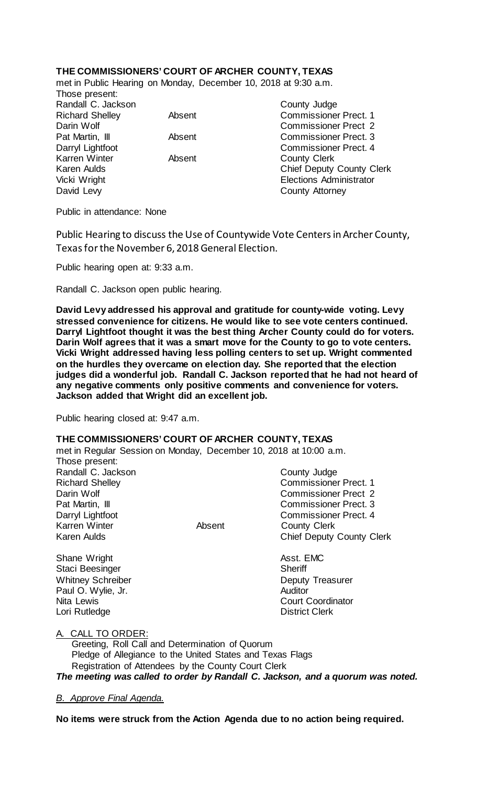# **THE COMMISSIONERS' COURT OF ARCHER COUNTY, TEXAS**

met in Public Hearing on Monday, December 10, 2018 at 9:30 a.m. Those present: Randall C. Jackson County Judge

Karren Winter<br>Karen Aulds David Levy **County Attorney** 

Richard Shelley Absent Commissioner Prect. 1 Darin Wolf Commissioner Prect 2 Pat Martin, III Absent Commissioner Prect. 3 Darryl Lightfoot **Commissioner Prect. 4**<br>
Karren Winter **County Clear**<br>
Karren Winter **County Clear** Chief Deputy County Clerk Vicki Wright **Elections** Administrator

Public in attendance: None

Public Hearing to discuss the Use of Countywide Vote Centers in Archer County, Texasfor the November 6, 2018 General Election.

Public hearing open at: 9:33 a.m.

Randall C. Jackson open public hearing.

**David Levy addressed his approval and gratitude for county-wide voting. Levy stressed convenience for citizens. He would like to see vote centers continued. Darryl Lightfoot thought it was the best thing Archer County could do for voters. Darin Wolf agrees that it was a smart move for the County to go to vote centers. Vicki Wright addressed having less polling centers to set up. Wright commented on the hurdles they overcame on election day. She reported that the election judges did a wonderful job. Randall C. Jackson reported that he had not heard of any negative comments only positive comments and convenience for voters. Jackson added that Wright did an excellent job.**

Public hearing closed at: 9:47 a.m.

### **THE COMMISSIONERS' COURT OF ARCHER COUNTY, TEXAS**

met in Regular Session on Monday, December 10, 2018 at 10:00 a.m.

Those present: Randall C. Jackson **County Judge** County Judge

Shane Wright **Asst.** EMC Staci Beesinger Sheriff Whitney Schreiber **Deputy Treasurer**<br>
Paul O. Wylie, Jr. **Deputy Treasurer** Paul O. Wylie, Jr.<br>Nita Lewis Lori Rutledge **District Clerk** 

Richard Shelley **Commissioner Prect. 1** Darin Wolf Commissioner Prect 2 Pat Martin, III Commissioner Prect. 3<br>
Darryl Lightfoot Commissioner Prect. 4 Darryl Lightfoot **Commissioner Prect. 4**<br>
Karren Winter **County County Clerk County Clerk** Karen Aulds **Chief Deputy County Clerk** 

**Court Coordinator** 

A. CALL TO ORDER:

 Greeting, Roll Call and Determination of Quorum Pledge of Allegiance to the United States and Texas Flags Registration of Attendees by the County Court Clerk *The meeting was called to order by Randall C. Jackson, and a quorum was noted.*

### *B. Approve Final Agenda.*

**No items were struck from the Action Agenda due to no action being required.**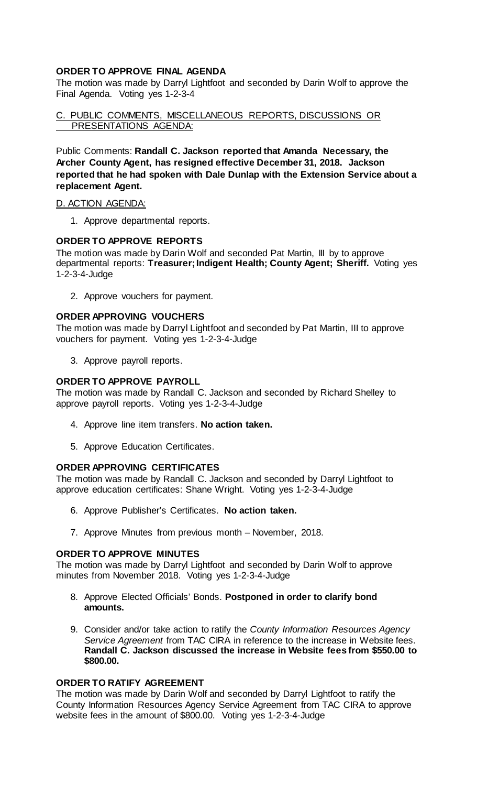# **ORDER TO APPROVE FINAL AGENDA**

The motion was made by Darryl Lightfoot and seconded by Darin Wolf to approve the Final Agenda. Voting yes 1-2-3-4

C. PUBLIC COMMENTS, MISCELLANEOUS REPORTS, DISCUSSIONS OR PRESENTATIONS AGENDA:

Public Comments: **Randall C. Jackson reported that Amanda Necessary, the Archer County Agent, has resigned effective December 31, 2018. Jackson reported that he had spoken with Dale Dunlap with the Extension Service about a replacement Agent.** 

# D. ACTION AGENDA:

1. Approve departmental reports.

### **ORDER TO APPROVE REPORTS**

The motion was made by Darin Wolf and seconded Pat Martin, III by to approve departmental reports: **Treasurer; Indigent Health; County Agent; Sheriff.** Voting yes 1-2-3-4-Judge

2. Approve vouchers for payment.

### **ORDER APPROVING VOUCHERS**

The motion was made by Darryl Lightfoot and seconded by Pat Martin, III to approve vouchers for payment. Voting yes 1-2-3-4-Judge

3. Approve payroll reports.

### **ORDER TO APPROVE PAYROLL**

The motion was made by Randall C. Jackson and seconded by Richard Shelley to approve payroll reports. Voting yes 1-2-3-4-Judge

- 4. Approve line item transfers. **No action taken.**
- 5. Approve Education Certificates.

### **ORDER APPROVING CERTIFICATES**

The motion was made by Randall C. Jackson and seconded by Darryl Lightfoot to approve education certificates: Shane Wright. Voting yes 1-2-3-4-Judge

- 6. Approve Publisher's Certificates. **No action taken.**
- 7. Approve Minutes from previous month November, 2018.

### **ORDER TO APPROVE MINUTES**

The motion was made by Darryl Lightfoot and seconded by Darin Wolf to approve minutes from November 2018. Voting yes 1-2-3-4-Judge

- 8. Approve Elected Officials' Bonds. **Postponed in order to clarify bond amounts.**
- 9. Consider and/or take action to ratify the *County Information Resources Agency Service Agreement* from TAC CIRA in reference to the increase in Website fees. **Randall C. Jackson discussed the increase in Website fees from \$550.00 to \$800.00.**

### **ORDER TO RATIFY AGREEMENT**

The motion was made by Darin Wolf and seconded by Darryl Lightfoot to ratify the County Information Resources Agency Service Agreement from TAC CIRA to approve website fees in the amount of \$800.00. Voting yes 1-2-3-4-Judge